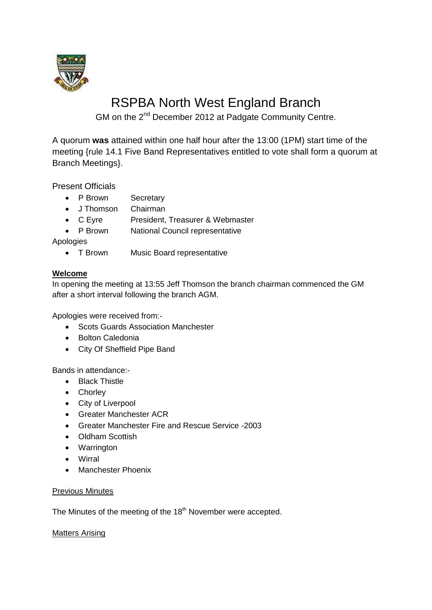

# RSPBA North West England Branch

GM on the 2<sup>nd</sup> December 2012 at Padgate Community Centre.

A quorum **was** attained within one half hour after the 13:00 (1PM) start time of the meeting {rule 14.1 Five Band Representatives entitled to vote shall form a quorum at Branch Meetings}.

Present Officials

- P Brown Secretary
- J Thomson Chairman
- C Eyre President, Treasurer & Webmaster
- P Brown National Council representative

Apologies

• T Brown Music Board representative

### **Welcome**

In opening the meeting at 13:55 Jeff Thomson the branch chairman commenced the GM after a short interval following the branch AGM.

Apologies were received from:-

- Scots Guards Association Manchester
- Bolton Caledonia
- City Of Sheffield Pipe Band

Bands in attendance:-

- Black Thistle
- Chorley
- City of Liverpool
- Greater Manchester ACR
- Greater Manchester Fire and Rescue Service -2003
- Oldham Scottish
- Warrington
- Wirral
- Manchester Phoenix

#### Previous Minutes

The Minutes of the meeting of the 18<sup>th</sup> November were accepted.

Matters Arising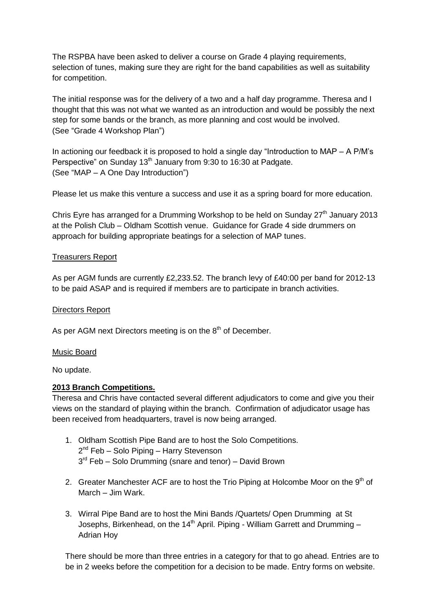The RSPBA have been asked to deliver a course on Grade 4 playing requirements, selection of tunes, making sure they are right for the band capabilities as well as suitability for competition.

The initial response was for the delivery of a two and a half day programme. Theresa and I thought that this was not what we wanted as an introduction and would be possibly the next step for some bands or the branch, as more planning and cost would be involved. (See "Grade 4 Workshop Plan")

In actioning our feedback it is proposed to hold a single day "Introduction to MAP – A P/M's Perspective" on Sunday 13<sup>th</sup> January from 9:30 to 16:30 at Padgate. (See "MAP – A One Day Introduction")

Please let us make this venture a success and use it as a spring board for more education.

Chris Eyre has arranged for a Drumming Workshop to be held on Sunday  $27<sup>th</sup>$  January 2013 at the Polish Club – Oldham Scottish venue. Guidance for Grade 4 side drummers on approach for building appropriate beatings for a selection of MAP tunes.

#### Treasurers Report

As per AGM funds are currently £2,233.52. The branch levy of £40:00 per band for 2012-13 to be paid ASAP and is required if members are to participate in branch activities.

#### Directors Report

As per AGM next Directors meeting is on the 8<sup>th</sup> of December.

#### Music Board

No update.

#### **2013 Branch Competitions.**

Theresa and Chris have contacted several different adjudicators to come and give you their views on the standard of playing within the branch. Confirmation of adjudicator usage has been received from headquarters, travel is now being arranged.

- 1. Oldham Scottish Pipe Band are to host the Solo Competitions. 2<sup>nd</sup> Feb - Solo Piping - Harry Stevenson 3<sup>rd</sup> Feb – Solo Drumming (snare and tenor) – David Brown
- 2. Greater Manchester ACF are to host the Trio Piping at Holcombe Moor on the  $9<sup>th</sup>$  of March – Jim Wark.
- 3. Wirral Pipe Band are to host the Mini Bands /Quartets/ Open Drumming at St Josephs, Birkenhead, on the  $14<sup>th</sup>$  April. Piping - William Garrett and Drumming – Adrian Hoy

There should be more than three entries in a category for that to go ahead. Entries are to be in 2 weeks before the competition for a decision to be made. Entry forms on website.